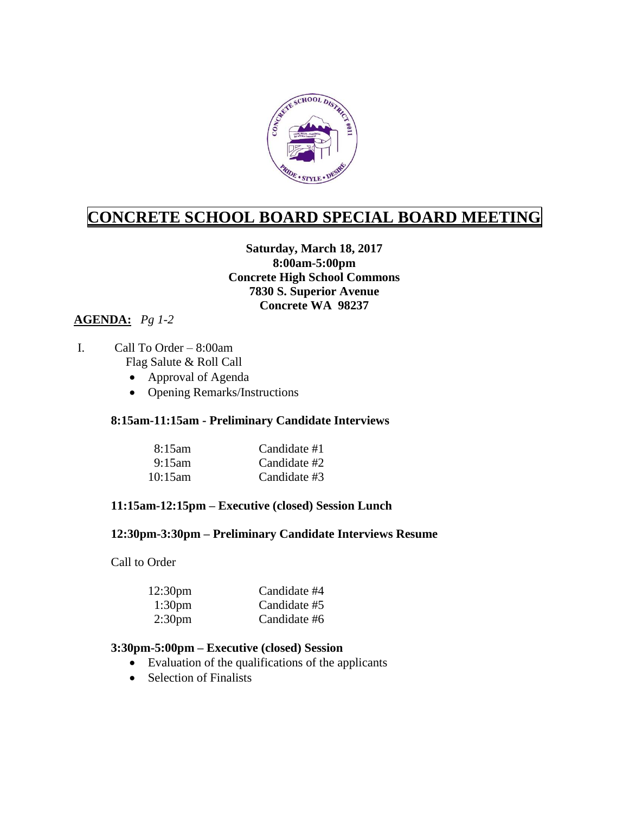

# **CONCRETE SCHOOL BOARD SPECIAL BOARD MEETING**

### **Saturday, March 18, 2017 8:00am-5:00pm Concrete High School Commons 7830 S. Superior Avenue Concrete WA 98237**

## **AGENDA:** *Pg 1-2*

#### I. Call To Order – 8:00am Flag Salute & Roll Call

- Approval of Agenda
- Opening Remarks/Instructions

### **8:15am-11:15am - Preliminary Candidate Interviews**

| 8:15am    | Candidate #1 |
|-----------|--------------|
| $9:15$ am | Candidate #2 |
| 10:15am   | Candidate #3 |

### **11:15am-12:15pm – Executive (closed) Session Lunch**

### **12:30pm-3:30pm – Preliminary Candidate Interviews Resume**

Call to Order

| 12:30 <sub>pm</sub> | Candidate #4 |
|---------------------|--------------|
| 1:30 <sub>pm</sub>  | Candidate #5 |
| 2:30 <sub>pm</sub>  | Candidate #6 |

#### **3:30pm-5:00pm – Executive (closed) Session**

- Evaluation of the qualifications of the applicants
- Selection of Finalists